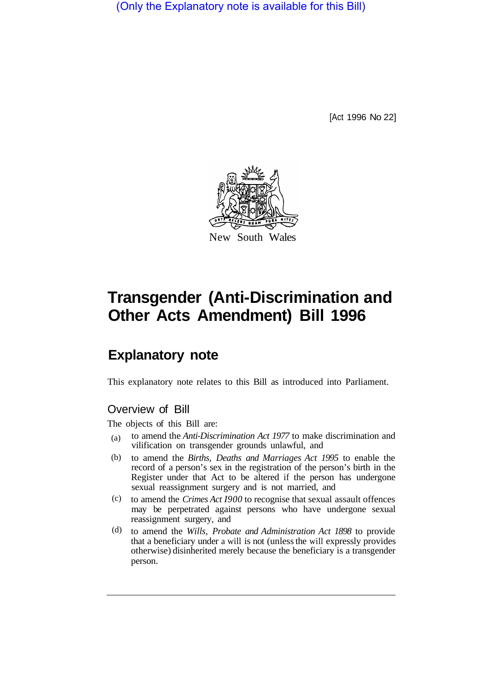(Only the Explanatory note is available for this Bill)

[Act 1996 No 22]



# **Transgender (Anti-Discrimination and Other Acts Amendment) Bill 1996**

# **Explanatory note**

This explanatory note relates to this Bill as introduced into Parliament.

## Overview of Bill

The objects of this Bill are:

- to amend the *Anti-Discrimination Act 1977* to make discrimination and vilification on transgender grounds unlawful, and (a)
- to amend the *Births, Deaths and Marriages Act 1995* to enable the record of a person's sex in the registration of the person's birth in the Register under that Act to be altered if the person has undergone sexual reassignment surgery and is not married, and (b)
- to amend the *Crimes Act I900* to recognise that sexual assault offences (c) may be perpetrated against persons who have undergone sexual reassignment surgery, and
- to amend the *Wills, Probate and Administration Act 1898* to provide that a beneficiary under a will is not (unless the will expressly provides otherwise) disinherited merely because the beneficiary is a transgender person. (d)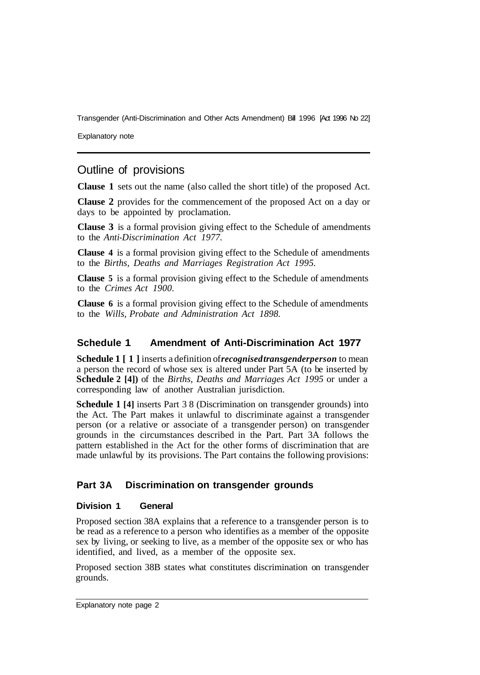Explanatory note

# Outline of provisions

**Clause 1** sets out the name (also called the short title) of the proposed Act.

**Clause 2** provides for the commencement of the proposed Act on a day or days to be appointed by proclamation.

**Clause 3** is a formal provision giving effect to the Schedule of amendments to the *Anti-Discrimination Act 1977.* 

**Clause 4** is a formal provision giving effect to the Schedule of amendments to the *Births, Deaths and Marriages Registration Act 1995.* 

**Clause 5** is a formal provision giving effect to the Schedule of amendments to the *Crimes Act 1900.* 

**Clause 6** is a formal provision giving effect to the Schedule of amendments to the *Wills, Probate and Administration Act 1898.* 

#### **Schedule 1 Amendment of Anti-Discrimination Act 1977**

**Schedule 1 [1]** inserts a definition of *recognised transgender person* to mean a person the record of whose sex is altered under Part 5A (to be inserted by **Schedule 2 [4])** of the *Births, Deaths and Marriages Act 1995* or under a corresponding law of another Australian jurisdiction.

**Schedule 1 [4]** inserts Part 3 8 (Discrimination on transgender grounds) into the Act. The Part makes it unlawful to discriminate against a transgender person (or a relative or associate of a transgender person) on transgender grounds in the circumstances described in the Part. Part 3A follows the pattern established in the Act for the other forms of discrimination that are made unlawful by its provisions. The Part contains the following provisions:

#### **Part 3A Discrimination on transgender grounds**

#### **Division 1 General**

Proposed section 38A explains that a reference to a transgender person is to be read as a reference to a person who identifies as a member of the opposite sex by living, or seeking to live, as a member of the opposite sex or who has identified, and lived, as a member of the opposite sex.

Proposed section 38B states what constitutes discrimination on transgender grounds.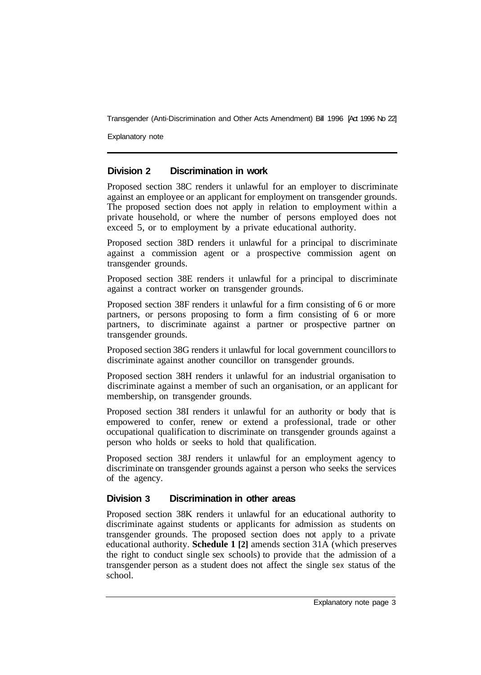Explanatory note

#### **Division 2 Discrimination in work**

Proposed section 38C renders it unlawful for an employer to discriminate against an employee or an applicant for employment on transgender grounds. The proposed section does not apply in relation to employment within a private household, or where the number of persons employed does not exceed 5, or to employment by a private educational authority.

Proposed section 38D renders it unlawful for a principal to discriminate against a commission agent or a prospective commission agent on transgender grounds.

Proposed section 38E renders it unlawful for a principal to discriminate against a contract worker on transgender grounds.

Proposed section 38F renders it unlawful for a firm consisting of 6 or more partners, or persons proposing to form a firm consisting of 6 or more partners, to discriminate against a partner or prospective partner on transgender grounds.

Proposed section 38G renders it unlawful for local government councillors to discriminate against another councillor on transgender grounds.

Proposed section 38H renders it unlawful for an industrial organisation to discriminate against a member of such an organisation, or an applicant for membership, on transgender grounds.

Proposed section 38I renders it unlawful for an authority or body that is empowered to confer, renew or extend a professional, trade or other occupational qualification to discriminate on transgender grounds against a person who holds or seeks to hold that qualification.

Proposed section 38J renders it unlawful for an employment agency to discriminate on transgender grounds against a person who seeks the services of the agency.

#### **Division 3 Discrimination in other areas**

Proposed section 38K renders it unlawful for an educational authority to discriminate against students or applicants for admission as students on transgender grounds. The proposed section does not apply to a private educational authority. **Schedule 1 [2]** amends section 31A (which preserves the right to conduct single sex schools) to provide that the admission of a transgender person as a student does not affect the single sex status of the school.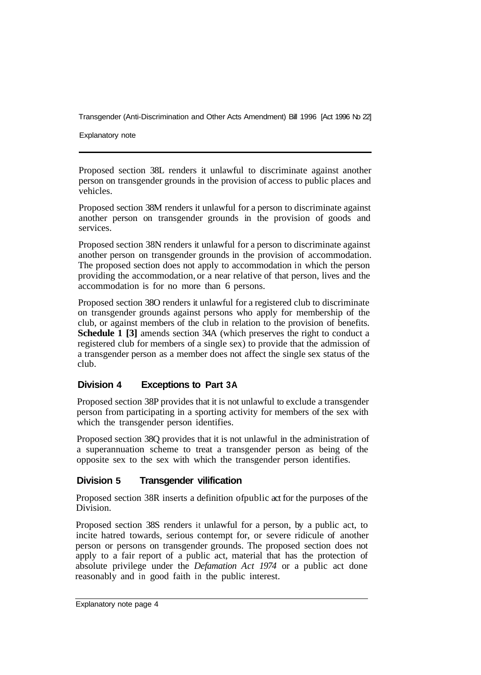Explanatory note

Proposed section 38L renders it unlawful to discriminate against another person on transgender grounds in the provision of access to public places and vehicles.

Proposed section 38M renders it unlawful for a person to discriminate against another person on transgender grounds in the provision of goods and services.

Proposed section 38N renders it unlawful for a person to discriminate against another person on transgender grounds in the provision of accommodation. The proposed section does not apply to accommodation in which the person providing the accommodation, or a near relative of that person, lives and the accommodation is for no more than 6 persons.

Proposed section 38O renders it unlawful for a registered club to discriminate on transgender grounds against persons who apply for membership of the club, or against members of the club in relation to the provision of benefits. **Schedule 1 [3]** amends section 34A (which preserves the right to conduct a registered club for members of a single sex) to provide that the admission of a transgender person as a member does not affect the single sex status of the club.

#### **Division 4 Exceptions to Part 3A**

Proposed section 38P provides that it is not unlawful to exclude a transgender person from participating in a sporting activity for members of the sex with which the transgender person identifies.

Proposed section 38Q provides that it is not unlawful in the administration of a superannuation scheme to treat a transgender person as being of the opposite sex to the sex with which the transgender person identifies.

#### **Division 5 Transgender vilification**

Proposed section 38R inserts a definition of public act for the purposes of the Division.

Proposed section 38S renders it unlawful for a person, by a public act, to incite hatred towards, serious contempt for, or severe ridicule of another person or persons on transgender grounds. The proposed section does not apply to a fair report of a public act, material that has the protection of absolute privilege under the *Defamation Act 1974* or a public act done reasonably and in good faith in the public interest.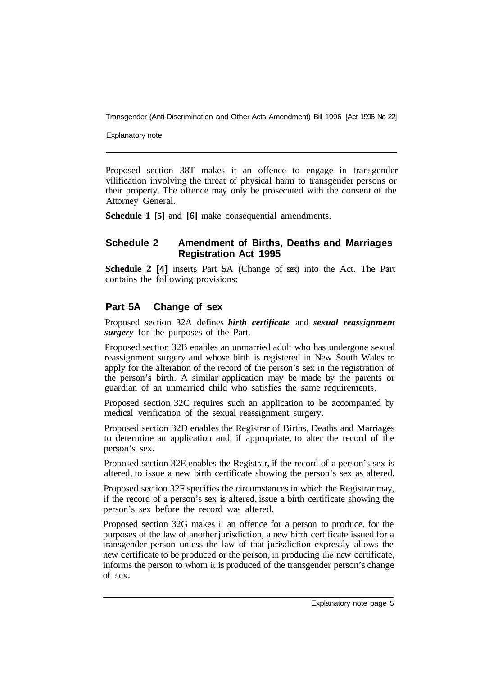Explanatory note

Proposed section 38T makes it an offence to engage in transgender vilification involving the threat of physical harm to transgender persons or their property. The offence may only be prosecuted with the consent of the Attorney General.

**Schedule 1 [5]** and **[6]** make consequential amendments.

#### **Schedule 2 Amendment of Births, Deaths and Marriages Registration Act 1995**

**Schedule 2 [4]** inserts Part 5A (Change of sex) into the Act. The Part contains the following provisions:

#### **Part 5A Change of sex**

Proposed section 32A defines *birth certificate* and *sexual reassignment surgery* for the purposes of the Part.

Proposed section 32B enables an unmarried adult who has undergone sexual reassignment surgery and whose birth is registered in New South Wales to apply for the alteration of the record of the person's sex in the registration of the person's birth. A similar application may be made by the parents or guardian of an unmarried child who satisfies the same requirements.

Proposed section 32C requires such an application to be accompanied by medical verification of the sexual reassignment surgery.

Proposed section 32D enables the Registrar of Births, Deaths and Marriages to determine an application and, if appropriate, to alter the record of the person's sex.

Proposed section 32E enables the Registrar, if the record of a person's sex is altered, to issue a new birth certificate showing the person's sex as altered.

Proposed section 32F specifies the circumstances in which the Registrar may, if the record of a person's sex is altered, issue a birth certificate showing the person's sex before the record was altered.

Proposed section 32G makes it an offence for a person to produce, for the purposes of the law of another jurisdiction, a new birth certificate issued for a transgender person unless the law of that jurisdiction expressly allows the new certificate to be produced or the person, in producing the new certificate, informs the person to whom it is produced of the transgender person's change of sex.